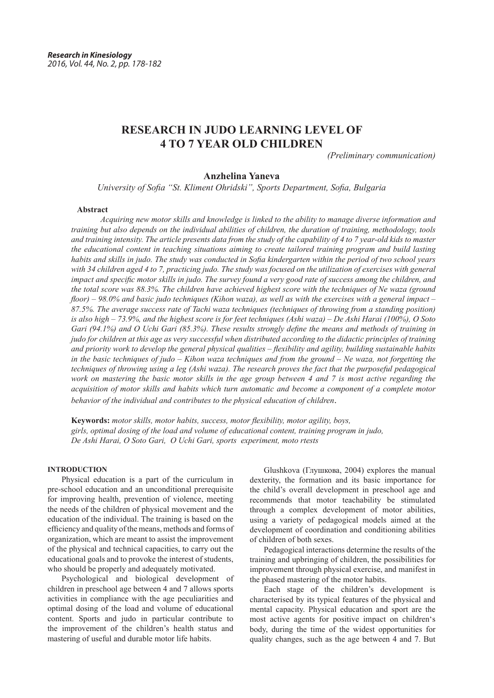# **RESEARCH IN JUDO LEARNING LEVEL OF 4 TO 7 YEAR OLD CHILDREN**

*(Preliminary communication)*

## **Anzhelina Yaneva**

*University of Sofia "St. Kliment Ohridski", Sports Department, Sofia, Bulgaria*

#### **Abstract**

*Acquiring new motor skills and knowledge is linked to the ability to manage diverse information and training but also depends on the individual abilities of children, the duration of training, methodology, tools and training intensity. The article presents data from the study of the capability of 4 to 7 year-old kids to master the educational content in teaching situations aiming to create tailored training program and build lasting habits and skills in judo. The study was conducted in Sofia kindergarten within the period of two school years*  with 34 children aged 4 to 7, practicing judo. The study was focused on the utilization of exercises with general *impact and specific motor skills in judo. The survey found a very good rate of success among the children, and the total score was 88.3%. The children have achieved highest score with the techniques of Ne waza (ground floor) – 98.0% and basic judo techniques (Kihon waza), as well as with the exercises with a general impact – 87.5%. The average success rate of Tachi waza techniques (techniques of throwing from a standing position) is also high – 73.9%, and the highest score is for feet techniques (Ashi waza) – De Ashi Harai (100%), O Soto Gari (94.1%) and O Uchi Gari (85.3%). These results strongly define the means and methods of training in judo for children at this age as very successful when distributed according to the didactic principles of training and priority work to develop the general physical qualities – flexibility and agility, building sustainable habits in the basic techniques of judo – Kihon waza techniques and from the ground – Ne waza, not forgetting the techniques of throwing using a leg (Ashi waza). The research proves the fact that the purposeful pedagogical work on mastering the basic motor skills in the age group between 4 and 7 is most active regarding the acquisition of motor skills and habits which turn automatic and become a component of a complete motor behavior of the individual and contributes to the physical education of children*.

**Keywords:** *motor skills, motor habits, success, motor flexibility, motor agility, boys, girls, optimal dosing of the load and volume of educational content, training program in judo, De Ashi Harai, O Soto Gari, O Uchi Gari, sports experiment, moto rtests* 

## **INTRODUCTION**

Physical education is a part of the curriculum in pre-school education and an unconditional prerequisite for improving health, prevention of violence, meeting the needs of the children of physical movement and the education of the individual. The training is based on the efficiency and quality of the means, methods and forms of organization, which are meant to assist the improvement of the physical and technical capacities, to carry out the educational goals and to provoke the interest of students, who should be properly and adequately motivated.

Psychological and biological development of children in preschool age between 4 and 7 allows sports activities in compliance with the age peculiarities and optimal dosing of the load and volume of educational content. Sports and judo in particular contribute to the improvement of the children's health status and mastering of useful and durable motor life habits.

Glushkova (Глушкова, 2004) explores the manual dexterity, the formation and its basic importance for the child's overall development in preschool age and recommends that motor teachability be stimulated through a complex development of motor abilities, using a variety of pedagogical models aimed at the development of coordination and conditioning abilities of children of both sexes.

Pedagogical interactions determine the results of the training and upbringing of children, the possibilities for improvement through physical exercise, and manifest in the phased mastering of the motor habits.

Each stage of the children's development is characterised by its typical features of the physical and mental capacity. Physical education and sport are the most active agents for positive impact on children's body, during the time of the widest opportunities for quality changes, such as the age between 4 and 7. But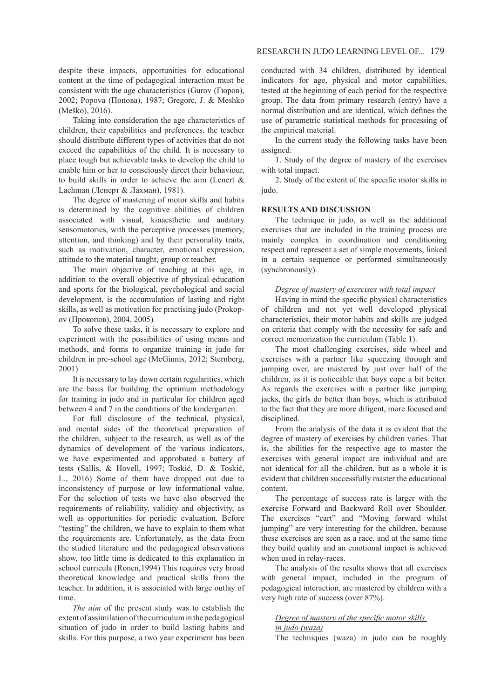despite these impacts, opportunities for educational content at the time of pedagogical interaction must be consistent with the age characteristics (Gurov (Гюров), 2002; Popova (Попова), 1987; Gregorc, J. & Meshko (Meško), 2016).

Taking into consideration the age characteristics of children, their capabilities and preferences, the teacher should distribute different types of activities that do not exceed the capabilities of the child. It is necessary to place tough but achievable tasks to develop the child to enable him or her to consciously direct their behaviour, to build skills in order to achieve the aim (Lenert & Lachman (Ленерт & Лахман), 1981).

The degree of mastering of motor skills and habits is determined by the cognitive abilities of children associated with visual, kinaesthetic and auditory sensomotorics, with the perceptive processes (memory, attention, and thinking) and by their personality traits, such as motivation, character, emotional expression, attitude to the material taught, group or teacher.

The main objective of teaching at this age, in addition to the overall objective of physical education and sports for the biological, psychological and social development, is the accumulation of lasting and right skills, as well as motivation for practising judo (Prokopov (Прокопов), 2004, 2005)

To solve these tasks, it is necessary to explore and experiment with the possibilities of using means and methods, and forms to organize training in judo for children in pre-school age (McGinnis, 2012; Sternberg, 2001)

It is necessary to lay down certain regularities, which are the basis for building the optimum methodology for training in judo and in particular for children aged between 4 and 7 in the conditions of the kindergarten.

For full disclosure of the technical, physical, and mental sides of the theoretical preparation of the children, subject to the research, as well as of the dynamics of development of the various indicators, we have experimented and approbated a battery of tests (Sallis, & Hovell, 1997; Toskić, D. & Toskić, L., 2016) Some of them have dropped out due to inconsistency of purpose or low informational value. For the selection of tests we have also observed the requirements of reliability, validity and objectivity, as well as opportunities for periodic evaluation. Before "testing" the children, we have to explain to them what the requirements are. Unfortunately, as the data from the studied literature and the pedagogical observations show, too little time is dedicated to this explanation in school curricula (Ronen, 1994) This requires very broad theoretical knowledge and practical skills from the teacher. In addition, it is associated with large outlay of time.

*The aim* of the present study was to establish the extent of assimilation of the curriculum in the pedagogical situation of judo in order to build lasting habits and skills. For this purpose, a two year experiment has been

conducted with 34 children, distributed by identical indicators for age, physical and motor capabilities, tested at the beginning of each period for the respective group. The data from primary research (entry) have a normal distribution and are identical, which defines the use of parametric statistical methods for processing of the empirical material.

In the current study the following tasks have been assigned:

1. Study of the degree of mastery of the exercises with total impact.

2. Study of the extent of the specific motor skills in judo.

## **RESULTS AND DISCUSSION**

The technique in judo, as well as the additional exercises that are included in the training process are mainly complex in coordination and conditioning respect and represent a set of simple movements, linked in a certain sequence or performed simultaneously (synchronously).

#### *Degree of mastery of exercises with total impact*

Having in mind the specific physical characteristics of children and not yet well developed physical characteristics, their motor habits and skills are judged on criteria that comply with the necessity for safe and correct memorization the curriculum (Table 1).

The most challenging exercises, side wheel and exercises with a partner like squeezing through and jumping over, are mastered by just over half of the children, as it is noticeable that boys cope a bit better. As regards the exercises with a partner like jumping jacks, the girls do better than boys, which is attributed to the fact that they are more diligent, more focused and disciplined.

From the analysis of the data it is evident that the degree of mastery of exercises by children varies. That is, the abilities for the respective age to master the exercises with general impact are individual and are not identical for all the children, but as a whole it is evident that children successfully master the educational content.

The percentage of success rate is larger with the exercise Forward and Backward Roll over Shoulder. The exercises "cart" and "Moving forward whilst jumping" are very interesting for the children, because these exercises are seen as a race, and at the same time they build quality and an emotional impact is achieved when used in relay-races.

The analysis of the results shows that all exercises with general impact, included in the program of pedagogical interaction, are mastered by children with a very high rate of success (over 87%).

## *Degree of mastery of the specific motor skills*

## *in judo (waza)*

The techniques (waza) in judo can be roughly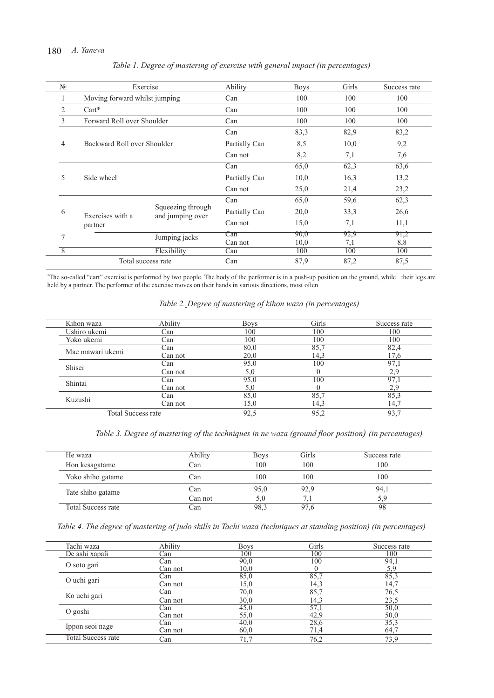# 180 *A. Yaneva*

| $N_2$          |                               | Exercise                              | Ability       | <b>Boys</b> | Girls | Success rate |
|----------------|-------------------------------|---------------------------------------|---------------|-------------|-------|--------------|
| 1              | Moving forward whilst jumping |                                       | Can           | 100         | 100   | 100          |
| 2              | $Cart*$                       |                                       | Can           | 100         | 100   | 100          |
| 3              | Forward Roll over Shoulder    |                                       | Can           | 100         | 100   | 100          |
|                | Backward Roll over Shoulder   |                                       | Can           | 83,3        | 82,9  | 83,2         |
| $\overline{4}$ |                               |                                       | Partially Can | 8,5         | 10,0  | 9,2          |
|                |                               |                                       | Can not       | 8,2         | 7,1   | 7,6          |
|                | Side wheel                    |                                       | Can           | 65,0        | 62,3  | 63,6         |
| 5              |                               |                                       | Partially Can | 10,0        | 16,3  | 13,2         |
|                |                               |                                       | Can not       | 25,0        | 21,4  | 23,2         |
|                |                               |                                       | Can           | 65,0        | 59,6  | 62,3         |
| 6              | Exercises with a              | Squeezing through<br>and jumping over | Partially Can | 20,0        | 33,3  | 26,6         |
|                | partner                       |                                       | Can not       | 15,0        | 7,1   | 11,1         |
| 7              | Jumping jacks                 | Can                                   | 90.0          | 92,9        | 91,2  |              |
|                |                               |                                       | Can not       | 10,0        | 7,1   | 8,8          |
| $\overline{8}$ |                               | Flexibility                           | Can           | 100         | 100   | 100          |
|                |                               | Total success rate                    | Can           | 87,9        | 87,2  | 87,5         |

## *Table 1. Degree of mastering of exercise with general impact (in percentages)*

\* The so-called "cart" exercise is performed by two people. The body of the performer is in a push-up position on the ground, while their legs are held by a partner. The performer of the exercise moves on their hands in various directions, most often

# *Table 2. Degree of mastering of kihon waza (in percentages)*

| Kihon waza                | Ability | <b>Boys</b> | Girls | Success rate |
|---------------------------|---------|-------------|-------|--------------|
| Ushiro ukemi              | Can     | 100         | 100   | 100          |
| Yoko ukemi                | Can     | 100         | 100   | 100          |
| Mae mawari ukemi          | Can     | 80,0        | 85,7  | 82,4         |
|                           | Can not | 20,0        | 14.3  | 17.6         |
| Shisei                    | Can     | 95,0        | 100   | 97.1         |
|                           | Can not | 5,0         |       | 2.9          |
| Shintai                   | Can     | 95,0        | 100   | 97.          |
|                           | Can not | 5.0         |       |              |
| Kuzushi                   | Can     | 85,0        | 85,7  | 85.3         |
|                           | Can not | 15,0        | 14.3  | 14.7         |
| <b>Total Success rate</b> |         | 92,5        | 95,2  | 93,7         |

*Table 3. Degree of mastering of the techniques in nе waza (ground floor position) (in percentages)*

| He waza            | Ability | <b>Boys</b> | Girls | Success rate |
|--------------------|---------|-------------|-------|--------------|
| Hon kesagatame     | ∠an     | 100         | 100   | 100          |
| Yoko shiho gatame  | Can     | 100         | 100   | 100          |
| Tate shiho gatame  | Can     | 95,0        | 92,9  | 94.          |
|                    | Can not | 5.0         |       | 5.9          |
| Total Success rate | Jan     | 98.3        | 97.6  | 98           |

*Table 4. The degree of mastering of judo skills in Tachi waza (techniques at standing position) (in percentages)*

|  | Tachi waza                | Ability | <b>Boys</b> | Girls | Success rate |
|--|---------------------------|---------|-------------|-------|--------------|
|  | De ashi харай             | Can     | 100         | 100   | 100          |
|  | O soto gari               | Can     | 90,0        | 100   | 94.          |
|  |                           | Can not | 10,0        |       | 5.9          |
|  | O uchi gari               | Can     | 85,0        | 85,7  | 85,3         |
|  |                           | Can not | 15,0        | 14.3  | 14.7         |
|  | Ko uchi gari              | Can     | 70,0        | 85,7  | 76,5         |
|  |                           | Can not | 30,0        | 14,3  | 23,5         |
|  | O goshi                   | Can     | 45,0        | 57,1  | 50,0         |
|  |                           | Can not | 55,0        | 42,9  | 50,0         |
|  | Ippon seoi nage           | Can     | 40,0        | 28,6  | 35,3         |
|  |                           | Can not | 60,0        | 71,4  | 64,7         |
|  | <b>Total Success rate</b> | Can     | 71,7        | 76,2  | 73,9         |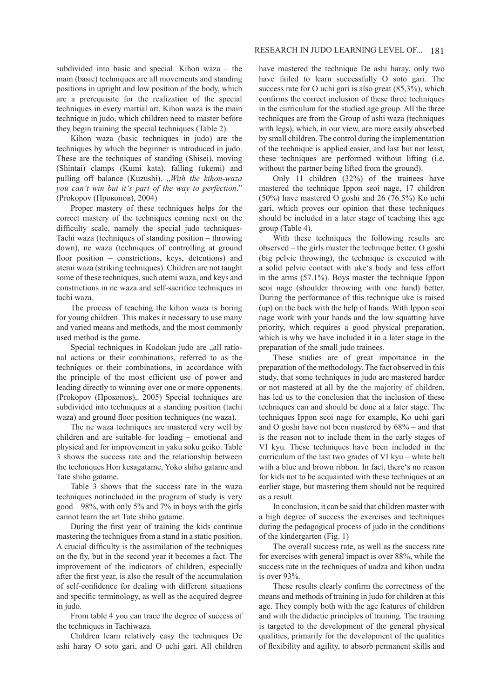subdivided into basic and special. Kihon waza – the main (basic) techniques are all movements and standing positions in upright and low position of the body, which are a prerequisite for the realization of the special techniques in every martial art. Kihon waza is the main technique in judo, which children need to master before they begin training the special techniques (Table 2).

Kihon waza (basic techniques in judo) are the techniques by which the beginner is introduced in judo. These are the techniques of standing (Shisei), moving (Shintai) clamps (Kumi kata), falling (ukemi) and pulling off balance (Kuzushi). "With the kihon-waza *you can't win but it's part of the way to perfection*." (Prokopov (Прокопов), 2004)

Proper mastery of these techniques helps for the correct mastery of the techniques coming next on the difficulty scale, namely the special judo techniques-Tachi waza (techniques of standing position – throwing down), ne waza (techniques of controlling at ground floor position – constrictions, keys, detentions) and atemi waza (striking techniques). Children are not taught some of these techniques, such atemi waza, and keys and constrictions in ne waza and self-sacrifice techniques in tachi waza.

The process of teaching the kihon waza is boring for young children. This makes it necessary to use many and varied means and methods, and the most commonly used method is the game.

Special techniques in Kodokan judo are "all rational actions or their combinations, referred to as the techniques or their combinations, in accordance with the principle of the most efficient use of power and leading directly to winning over one or more opponents. (Prokopov (Прокопов),. 2005) Special techniques are subdivided into techniques at a standing position (tachi waza) and ground floor position techniques (ne waza).

The ne waza techniques are mastered very well by children and are suitable for loading – emotional and physical and for improvement in yaku soku geiko. Table 3 shows the success rate and the relationship between the techniques Hon kesagatame, Yoko shiho gatame and Tate shiho gatame.

Table 3 shows that the success rate in the waza techniques notincluded in the program of study is very good – 98%, with only 5% and 7% in boys with the girls cannot learn the art Tate shiho gatame.

During the first year of training the kids continue mastering the techniques from a stand in a static position. A crucial difficulty is the assimilation of the techniques on the fly, but in the second year it becomes a fact. The improvement of the indicators of children, especially after the first year, is also the result of the accumulation of self-confidence for dealing with different situations and specific terminology, as well as the acquired degree in judo.

From table 4 you can trace the degree of success of the techniques in Tachiwaza.

Children learn relatively easy the techniques De ashi haray O soto gari, and O uchi gari. All children have mastered the technique De ashi haray, only two have failed to learn successfully O soto gari. The success rate for O uchi gari is also great (85,3%), which confirms the correct inclusion of these three techniques in the curriculum for the studied age group. All the three techniques are from the Group of ashi waza (techniques with legs), which, in our view, are more easily absorbed by small children. The control during the implementation of the technique is applied easier, and last but not least, these techniques are performed without lifting (i.e. without the partner being lifted from the ground).

Only 11 children (32%) of the trainees have mastered the technique Ippon seoi nage, 17 children (50%) have mastered O goshi and 26 (76.5%) Ko uchi gari, which proves our opinion that these techniques should be included in a later stage of teaching this age group (Table 4).

With these techniques the following results are observed – the girls master the technique better. O goshi (big pelvic throwing), the technique is executed with a solid pelvic contact with uke's body and less effort in the arms (57.1%). Boys master the technique Ippon seoi nage (shoulder throwing with one hand) better. During the performance of this technique uke is raised (up) on the back with the help of hands. With Ippon seoi nage work with your hands and the low squatting have priority, which requires a good physical preparation, which is why we have included it in a later stage in the preparation of the small judo trainees.

These studies are of great importance in the preparation of the methodology. The fact observed in this study, that some techniques in judo are mastered harder or not mastered at all by the the majority of children, has led us to the conclusion that the inclusion of these techniques can and should be done at a later stage. The techniques Ippon seoi nage for example, Ko uchi gari and O goshi have not been mastered by 68% – and that is the reason not to include them in the early stages of VI kyu. These techniques have been included in the curriculum of the last two grades of VI kyu – white belt with a blue and brown ribbon. In fact, there's no reason for kids not to be acquainted with these techniques at an earlier stage, but mastering them should not be required as a result.

In conclusion, it can be said that children master with a high degree of success the exercises and techniques during the pedagogical process of judo in the conditions of the kindergarten (Fig. 1)

The overall success rate, as well as the success rate for exercises with general impact is over 88%, while the success rate in the techniques of uadza and kihon uadza is over 93%.

These results clearly confirm the correctness of the means and methods of training in judo for children at this age. They comply both with the age features of children and with the didactic principles of training. The training is targeted to the development of the general physical qualities, primarily for the development of the qualities of flexibility and agility, to absorb permanent skills and